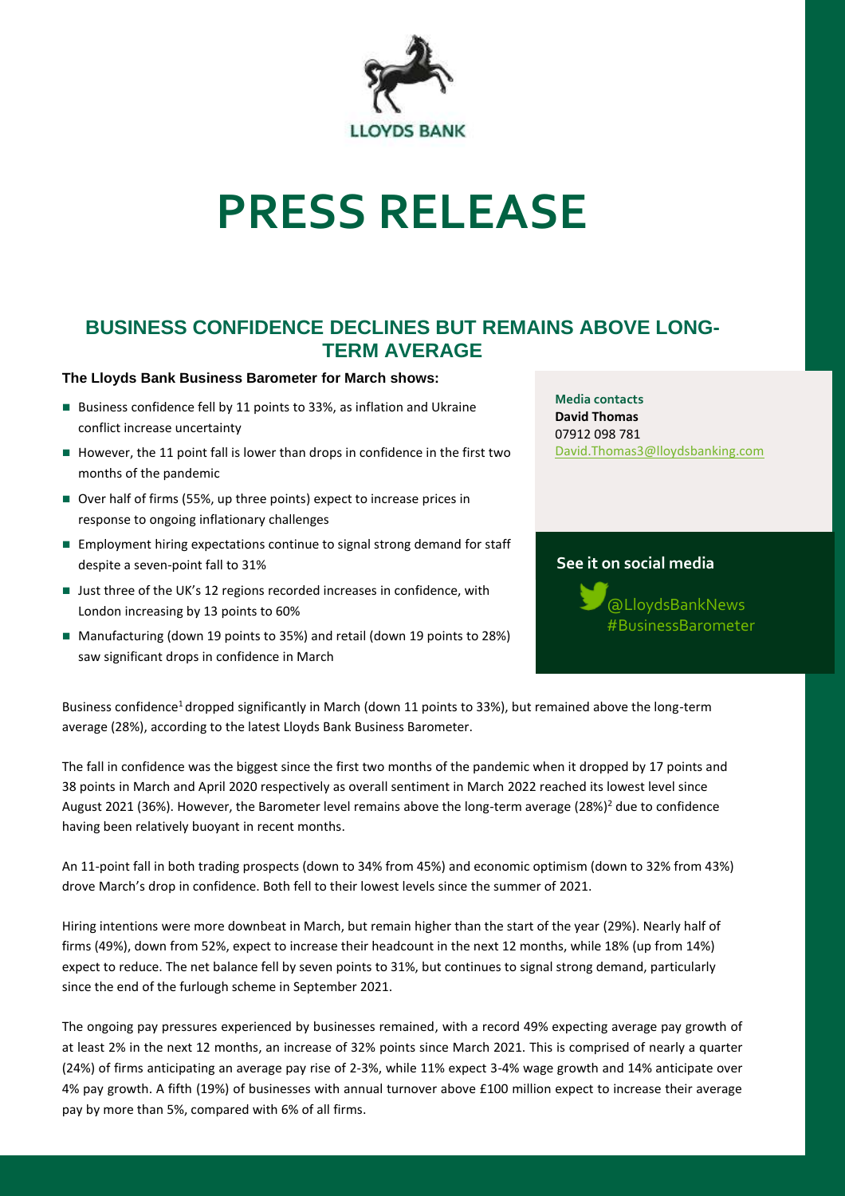

# **PRESS RELEASE**

# **BUSINESS CONFIDENCE DECLINES BUT REMAINS ABOVE LONG-TERM AVERAGE**

## **The Lloyds Bank Business Barometer for March shows:**

- Business confidence fell by 11 points to 33%, as inflation and Ukraine conflict increase uncertainty
- However, the 11 point fall is lower than drops in confidence in the first two months of the pandemic
- Over half of firms (55%, up three points) expect to increase prices in response to ongoing inflationary challenges
- Employment hiring expectations continue to signal strong demand for staff despite a seven-point fall to 31%
- Just three of the UK's 12 regions recorded increases in confidence, with London increasing by 13 points to 60%
- Manufacturing (down 19 points to 35%) and retail (down 19 points to 28%) saw significant drops in confidence in March

**Media contacts David Thomas** 07912 098 781 [David.Thomas3@lloydsbanking.com](mailto:David.Thomas3@lloydsbanking.com)

# **See it on social media**

@LloydsBankNews #BusinessBarometer

Business confidence<sup>1</sup> dropped significantly in March (down 11 points to 33%), but remained above the long-term average (28%), according to the latest Lloyds Bank Business Barometer.

The fall in confidence was the biggest since the first two months of the pandemic when it dropped by 17 points and 38 points in March and April 2020 respectively as overall sentiment in March 2022 reached its lowest level since August 2021 (36%). However, the Barometer level remains above the long-term average (28%)<sup>2</sup> due to confidence having been relatively buoyant in recent months.

An 11-point fall in both trading prospects (down to 34% from 45%) and economic optimism (down to 32% from 43%) drove March's drop in confidence. Both fell to their lowest levels since the summer of 2021.

Hiring intentions were more downbeat in March, but remain higher than the start of the year (29%). Nearly half of firms (49%), down from 52%, expect to increase their headcount in the next 12 months, while 18% (up from 14%) expect to reduce. The net balance fell by seven points to 31%, but continues to signal strong demand, particularly since the end of the furlough scheme in September 2021.

The ongoing pay pressures experienced by businesses remained, with a record 49% expecting average pay growth of at least 2% in the next 12 months, an increase of 32% points since March 2021. This is comprised of nearly a quarter (24%) of firms anticipating an average pay rise of 2-3%, while 11% expect 3-4% wage growth and 14% anticipate over 4% pay growth. A fifth (19%) of businesses with annual turnover above £100 million expect to increase their average pay by more than 5%, compared with 6% of all firms.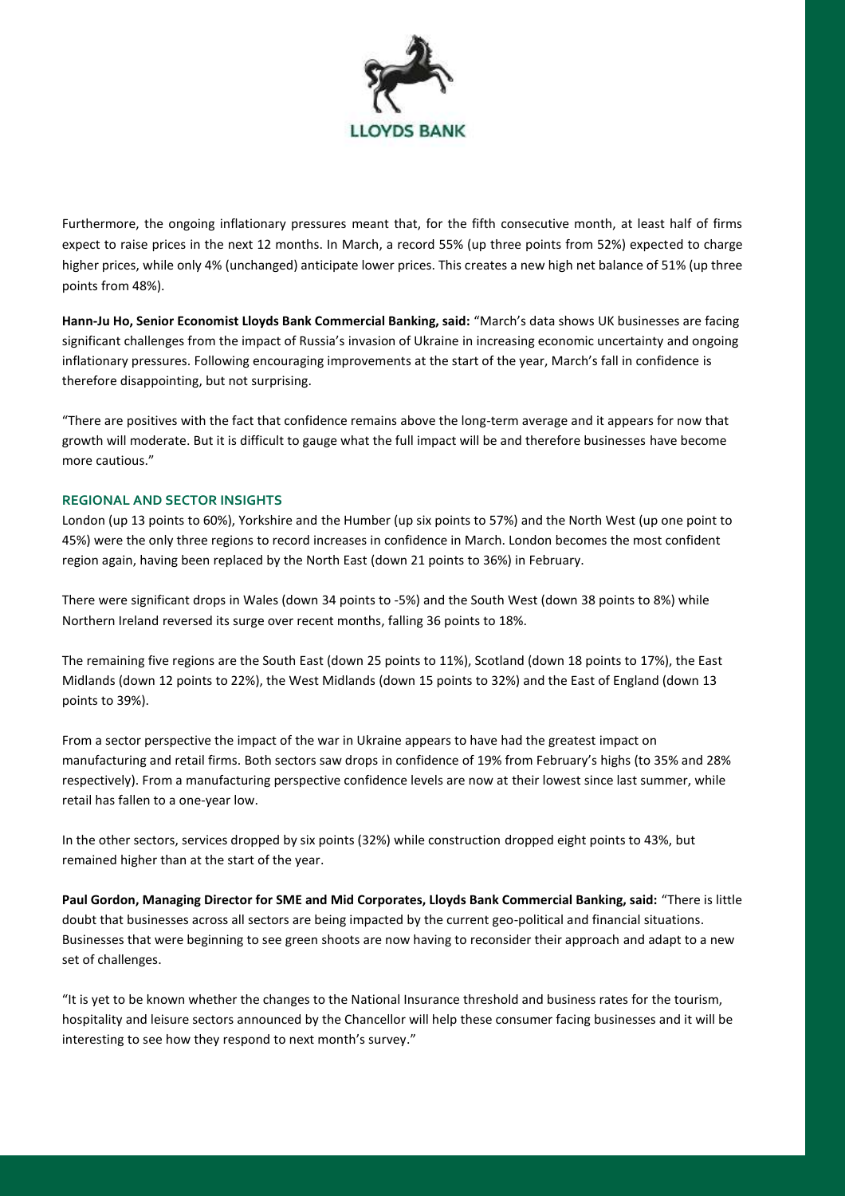

Furthermore, the ongoing inflationary pressures meant that, for the fifth consecutive month, at least half of firms expect to raise prices in the next 12 months. In March, a record 55% (up three points from 52%) expected to charge higher prices, while only 4% (unchanged) anticipate lower prices. This creates a new high net balance of 51% (up three points from 48%).

**Hann-Ju Ho, Senior Economist Lloyds Bank Commercial Banking, said:** "March's data shows UK businesses are facing significant challenges from the impact of Russia's invasion of Ukraine in increasing economic uncertainty and ongoing inflationary pressures. Following encouraging improvements at the start of the year, March's fall in confidence is therefore disappointing, but not surprising.

"There are positives with the fact that confidence remains above the long-term average and it appears for now that growth will moderate. But it is difficult to gauge what the full impact will be and therefore businesses have become more cautious."

## **REGIONAL AND SECTOR INSIGHTS**

London (up 13 points to 60%), Yorkshire and the Humber (up six points to 57%) and the North West (up one point to 45%) were the only three regions to record increases in confidence in March. London becomes the most confident region again, having been replaced by the North East (down 21 points to 36%) in February.

There were significant drops in Wales (down 34 points to -5%) and the South West (down 38 points to 8%) while Northern Ireland reversed its surge over recent months, falling 36 points to 18%.

The remaining five regions are the South East (down 25 points to 11%), Scotland (down 18 points to 17%), the East Midlands (down 12 points to 22%), the West Midlands (down 15 points to 32%) and the East of England (down 13 points to 39%).

From a sector perspective the impact of the war in Ukraine appears to have had the greatest impact on manufacturing and retail firms. Both sectors saw drops in confidence of 19% from February's highs (to 35% and 28% respectively). From a manufacturing perspective confidence levels are now at their lowest since last summer, while retail has fallen to a one-year low.

In the other sectors, services dropped by six points (32%) while construction dropped eight points to 43%, but remained higher than at the start of the year.

**Paul Gordon, Managing Director for SME and Mid Corporates, Lloyds Bank Commercial Banking, said:** "There is little doubt that businesses across all sectors are being impacted by the current geo-political and financial situations. Businesses that were beginning to see green shoots are now having to reconsider their approach and adapt to a new set of challenges.

"It is yet to be known whether the changes to the National Insurance threshold and business rates for the tourism, hospitality and leisure sectors announced by the Chancellor will help these consumer facing businesses and it will be interesting to see how they respond to next month's survey."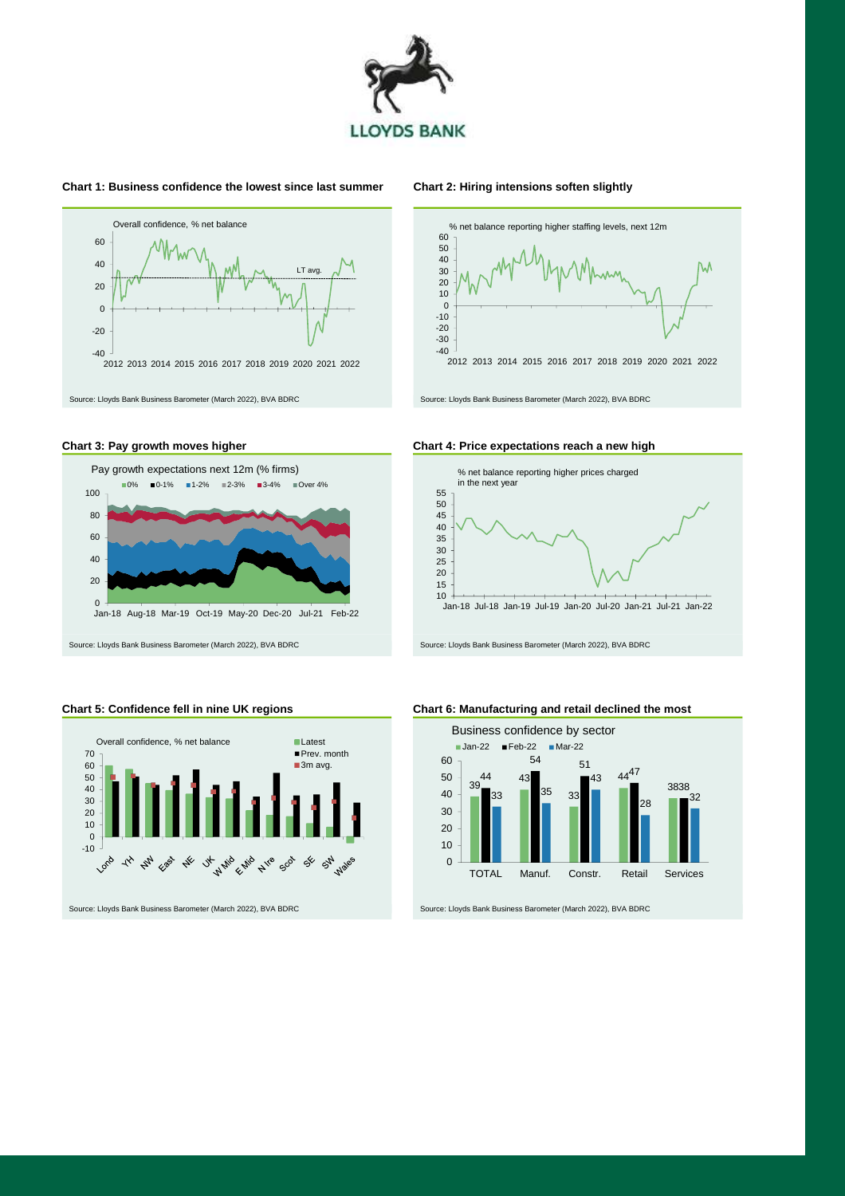

#### **Chart 1: Business confidence the lowest since last summer Chart 2: Hiring intensions soften slightly**



## **Chart 3: Pay growth moves higher Chart 4: Price expectations reach a new high**



Source: Lloyds Bank Business Barometer (March 2022), BVA BDRC Source: Lloyds Bank Business Barometer (March 2022), BVA BDRC







**Chart 5: Confidence fell in nine UK regions Chart 6: Manufacturing and retail declined the most**